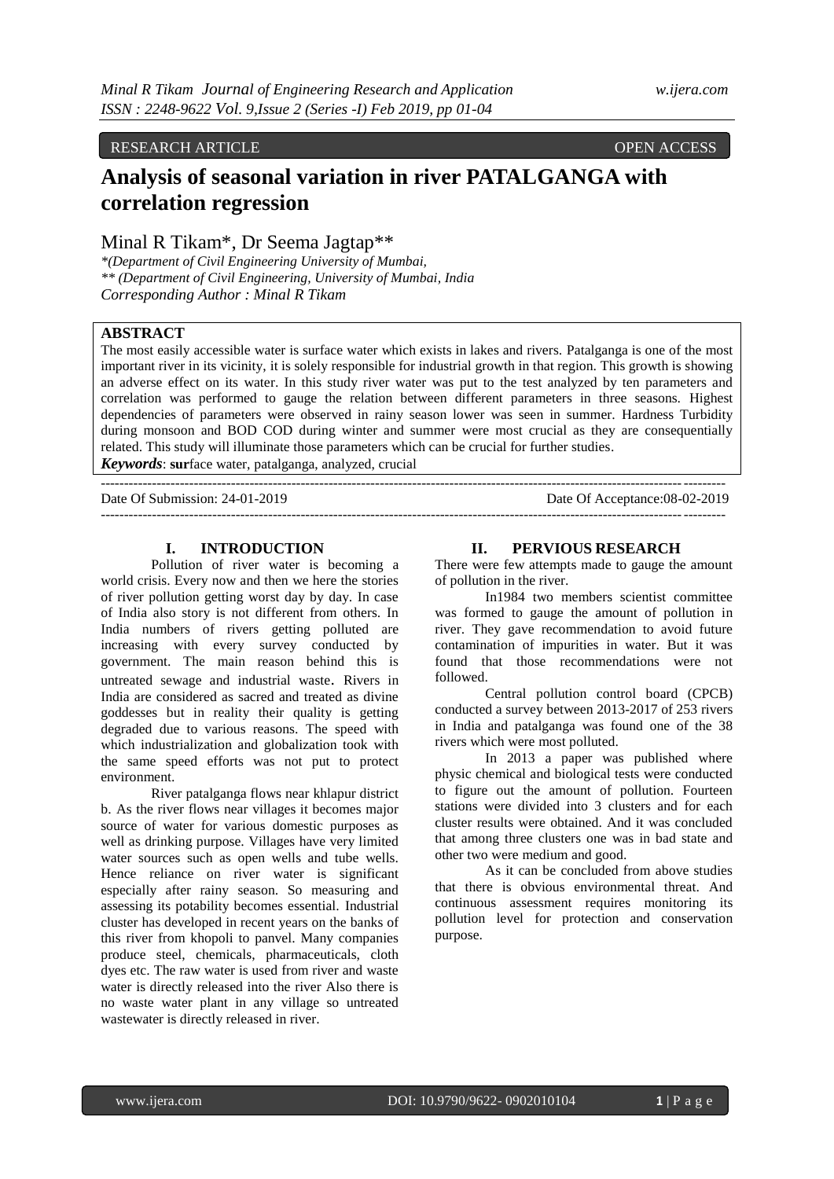## RESEARCH ARTICLE OPEN ACCESS

# **Analysis of seasonal variation in river PATALGANGA with correlation regression**

# Minal R Tikam\*, Dr Seema Jagtap\*\*

*\*(Department of Civil Engineering University of Mumbai, \*\* (Department of Civil Engineering, University of Mumbai, India Corresponding Author : Minal R Tikam*

## **ABSTRACT**

The most easily accessible water is surface water which exists in lakes and rivers. Patalganga is one of the most important river in its vicinity, it is solely responsible for industrial growth in that region. This growth is showing an adverse effect on its water. In this study river water was put to the test analyzed by ten parameters and correlation was performed to gauge the relation between different parameters in three seasons. Highest dependencies of parameters were observed in rainy season lower was seen in summer. Hardness Turbidity during monsoon and BOD COD during winter and summer were most crucial as they are consequentially related. This study will illuminate those parameters which can be crucial for further studies.

--------------------------------------------------------------------------------------------------------------------------------------

*Keywords*: **sur**face water, patalganga, analyzed, crucial --------------------------------------------------------------------------------------------------------------------------------------

Date Of Submission: 24-01-2019 Date Of Acceptance:08-02-2019

### **I. INTRODUCTION**

Pollution of river water is becoming a world crisis. Every now and then we here the stories of river pollution getting worst day by day. In case of India also story is not different from others. In India numbers of rivers getting polluted are increasing with every survey conducted by government. The main reason behind this is untreated sewage and industrial waste. Rivers in India are considered as sacred and treated as divine goddesses but in reality their quality is getting degraded due to various reasons. The speed with which industrialization and globalization took with the same speed efforts was not put to protect environment.

River patalganga flows near khlapur district b. As the river flows near villages it becomes major source of water for various domestic purposes as well as drinking purpose. Villages have very limited water sources such as open wells and tube wells. Hence reliance on river water is significant especially after rainy season. So measuring and assessing its potability becomes essential. Industrial cluster has developed in recent years on the banks of this river from khopoli to panvel. Many companies produce steel, chemicals, pharmaceuticals, cloth dyes etc. The raw water is used from river and waste water is directly released into the river Also there is no waste water plant in any village so untreated wastewater is directly released in river.

#### **II. PERVIOUS RESEARCH**

There were few attempts made to gauge the amount of pollution in the river.

In1984 two members scientist committee was formed to gauge the amount of pollution in river. They gave recommendation to avoid future contamination of impurities in water. But it was found that those recommendations were not followed.

Central pollution control board (CPCB) conducted a survey between 2013-2017 of 253 rivers in India and patalganga was found one of the 38 rivers which were most polluted.

In 2013 a paper was published where physic chemical and biological tests were conducted to figure out the amount of pollution. Fourteen stations were divided into 3 clusters and for each cluster results were obtained. And it was concluded that among three clusters one was in bad state and other two were medium and good.

As it can be concluded from above studies that there is obvious environmental threat. And continuous assessment requires monitoring its pollution level for protection and conservation purpose.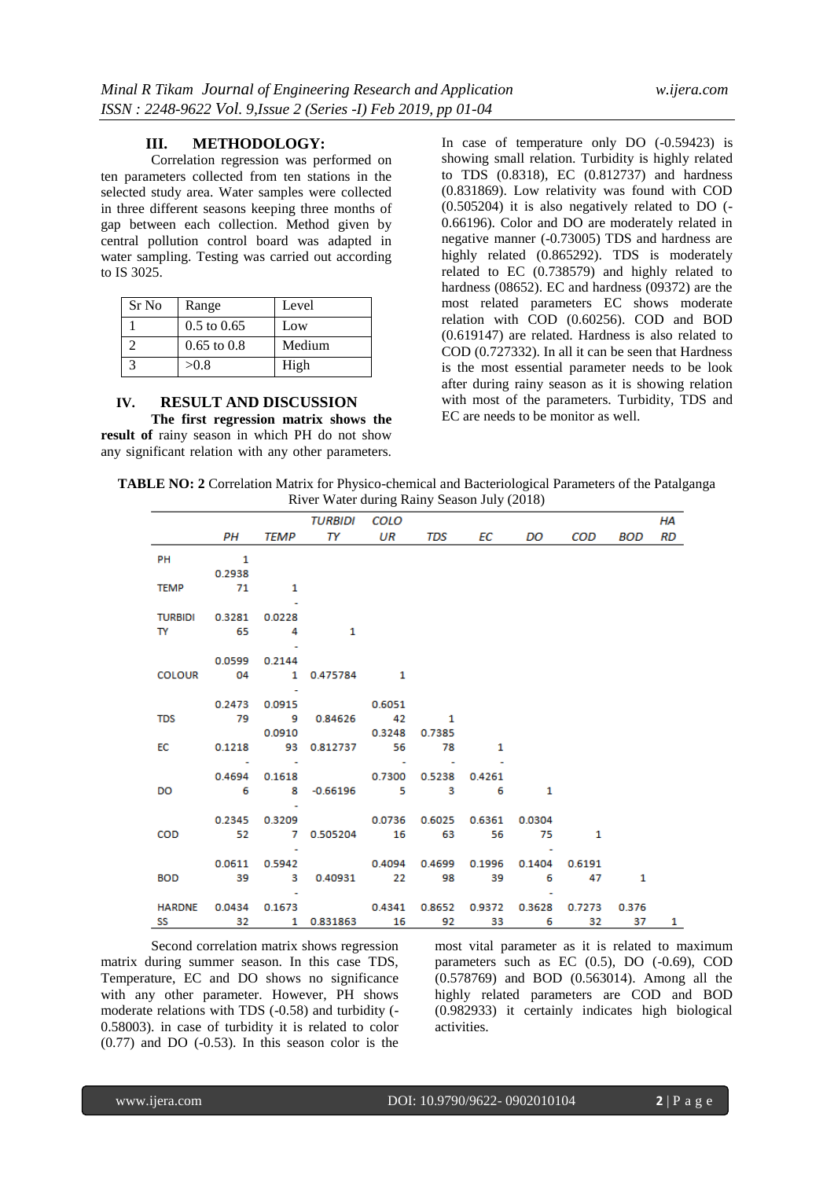#### **III. METHODOLOGY:**

 Correlation regression was performed on ten parameters collected from ten stations in the selected study area. Water samples were collected in three different seasons keeping three months of gap between each collection. Method given by central pollution control board was adapted in water sampling. Testing was carried out according to IS 3025.

| Sr No | Range           | Level  |
|-------|-----------------|--------|
|       | $0.5$ to $0.65$ | Low    |
|       | $0.65$ to $0.8$ | Medium |
|       | >0.8            | High   |

#### **IV. RESULT AND DISCUSSION**

**The first regression matrix shows the result of** rainy season in which PH do not show any significant relation with any other parameters.

In case of temperature only DO (-0.59423) is showing small relation. Turbidity is highly related to TDS (0.8318), EC (0.812737) and hardness (0.831869). Low relativity was found with COD (0.505204) it is also negatively related to DO (- 0.66196). Color and DO are moderately related in negative manner (-0.73005) TDS and hardness are highly related (0.865292). TDS is moderately related to EC (0.738579) and highly related to hardness (08652). EC and hardness (09372) are the most related parameters EC shows moderate relation with COD (0.60256). COD and BOD (0.619147) are related. Hardness is also related to COD (0.727332). In all it can be seen that Hardness is the most essential parameter needs to be look after during rainy season as it is showing relation with most of the parameters. Turbidity, TDS and EC are needs to be monitor as well.

**TABLE NO: 2** Correlation Matrix for Physico-chemical and Bacteriological Parameters of the Patalganga River Water during Rainy Season July (2018)

|                         |                          |                          | TURBIDI COLO                                                  |                        |                                                                                                                                                                                                                                |          |   |         | НA |
|-------------------------|--------------------------|--------------------------|---------------------------------------------------------------|------------------------|--------------------------------------------------------------------------------------------------------------------------------------------------------------------------------------------------------------------------------|----------|---|---------|----|
|                         | PH —                     |                          | TEMP TY UR TDS                                                |                        | EC and the set of the set of the set of the set of the set of the set of the set of the set of the set of the set of the set of the set of the set of the set of the set of the set of the set of the set of the set of the se | DO       |   | COD BOD | RD |
| PH                      | $\overline{\phantom{a}}$ |                          |                                                               |                        |                                                                                                                                                                                                                                |          |   |         |    |
|                         | 0.2938                   |                          |                                                               |                        |                                                                                                                                                                                                                                |          |   |         |    |
| <b>TEMP</b>             | 71                       | $\overline{\phantom{a}}$ |                                                               |                        |                                                                                                                                                                                                                                |          |   |         |    |
|                         |                          |                          |                                                               |                        |                                                                                                                                                                                                                                |          |   |         |    |
| TURBIDI  0.3281  0.0228 |                          |                          |                                                               |                        |                                                                                                                                                                                                                                |          |   |         |    |
| TY 65                   |                          | $\sim$ 4                 | 1                                                             |                        |                                                                                                                                                                                                                                |          |   |         |    |
|                         |                          |                          |                                                               |                        |                                                                                                                                                                                                                                |          |   |         |    |
|                         | 0.0599 0.2144            |                          |                                                               |                        |                                                                                                                                                                                                                                |          |   |         |    |
|                         |                          |                          |                                                               |                        |                                                                                                                                                                                                                                |          |   |         |    |
|                         |                          |                          |                                                               |                        |                                                                                                                                                                                                                                |          |   |         |    |
|                         |                          |                          | 0.2473 0.0915 0.6051                                          |                        |                                                                                                                                                                                                                                |          |   |         |    |
| <b>TDS</b>              |                          |                          | 79 9 0.84626 42 1                                             |                        |                                                                                                                                                                                                                                |          |   |         |    |
|                         |                          |                          | 0.0910 0.3248                                                 | 0.7385                 |                                                                                                                                                                                                                                |          |   |         |    |
| EC                      |                          |                          | 0.1218 93 0.812737 56 78                                      |                        | $\sim$ 1                                                                                                                                                                                                                       |          |   |         |    |
|                         |                          | and the control of the   |                                                               | and the second company |                                                                                                                                                                                                                                |          |   |         |    |
|                         |                          |                          | 0.4694  0.1618  0.7300  0.5238  0.4261                        |                        |                                                                                                                                                                                                                                |          |   |         |    |
| DO -                    |                          |                          | 6 8 -0.66196 5 3 6                                            |                        |                                                                                                                                                                                                                                | $\sim$ 1 |   |         |    |
|                         |                          |                          |                                                               |                        |                                                                                                                                                                                                                                |          |   |         |    |
|                         |                          |                          | 0.2345 0.3209 0.0736 0.6025 0.6361 0.0304                     |                        |                                                                                                                                                                                                                                |          |   |         |    |
| COD                     |                          |                          | 52 7 0.505204 16 63 56 75                                     |                        |                                                                                                                                                                                                                                |          | 1 |         |    |
|                         |                          |                          |                                                               |                        |                                                                                                                                                                                                                                |          |   |         |    |
|                         |                          |                          | 0.0611 0.5942 0.4094 0.4699 0.1996 0.1404 0.6191              |                        |                                                                                                                                                                                                                                |          |   |         |    |
|                         |                          |                          | BOD 39 3 0.40931 22 98 39 6 47 1                              |                        |                                                                                                                                                                                                                                |          |   |         |    |
|                         |                          |                          | HARDNE 0.0434 0.1673 0.4341 0.8652 0.9372 0.3628 0.7273 0.376 |                        |                                                                                                                                                                                                                                |          |   |         |    |
|                         |                          |                          | SS 32 1 0.831863 16 92 33 6 32 37                             |                        |                                                                                                                                                                                                                                |          |   |         | 1  |
|                         |                          |                          |                                                               |                        |                                                                                                                                                                                                                                |          |   |         |    |

Second correlation matrix shows regression matrix during summer season. In this case TDS, Temperature, EC and DO shows no significance with any other parameter. However, PH shows moderate relations with TDS (-0.58) and turbidity (- 0.58003). in case of turbidity it is related to color  $(0.77)$  and DO  $(-0.53)$ . In this season color is the

most vital parameter as it is related to maximum parameters such as EC (0.5), DO (-0.69), COD (0.578769) and BOD (0.563014). Among all the highly related parameters are COD and BOD (0.982933) it certainly indicates high biological activities.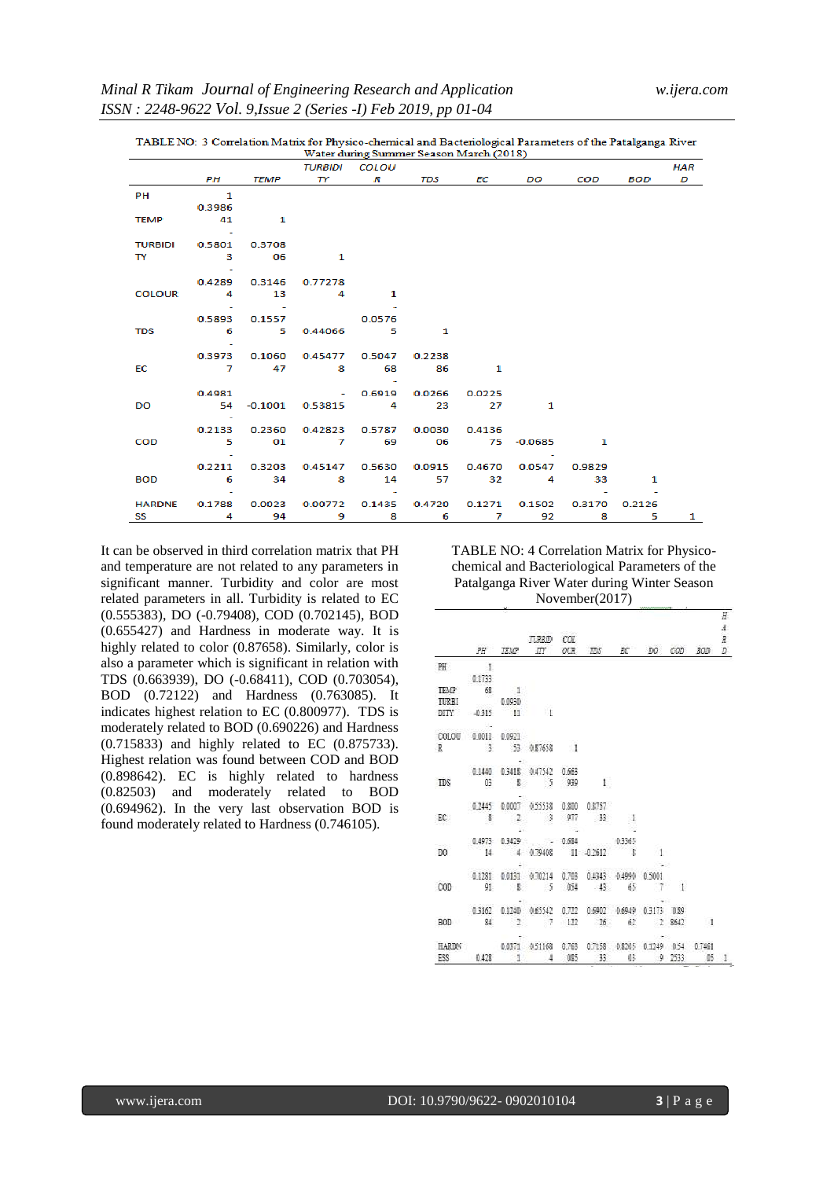| Water during Summer Season March (2018) |                          |           |                |        |        |        |                |        |        |     |
|-----------------------------------------|--------------------------|-----------|----------------|--------|--------|--------|----------------|--------|--------|-----|
|                                         |                          |           | <b>TURBIDI</b> | COLOU  |        |        |                |        |        | HAR |
|                                         | PH                       | TEMP      | TY.            | R      | TDS    | ЕC     | DO             | COD    | BOD    | D   |
| PH                                      | $\overline{\phantom{a}}$ |           |                |        |        |        |                |        |        |     |
|                                         | 0.3986                   |           |                |        |        |        |                |        |        |     |
| <b>TEMP</b>                             | 41                       | 1         |                |        |        |        |                |        |        |     |
|                                         |                          |           |                |        |        |        |                |        |        |     |
| <b>TURBIDI</b>                          | 0.5801                   | 0.3708    |                |        |        |        |                |        |        |     |
| $\mathbf{I}$ $\mathbf{Y}$               | $\overline{\mathbf{3}}$  | 06        | 1              |        |        |        |                |        |        |     |
|                                         | ٠                        |           |                |        |        |        |                |        |        |     |
|                                         | 0.4289                   | 0.3146    | 0.77278        |        |        |        |                |        |        |     |
| <b>COLOUR</b>                           | 4                        | 13        | 4              | 1      |        |        |                |        |        |     |
|                                         |                          |           |                |        |        |        |                |        |        |     |
|                                         | 0.5893                   | 0.1557    |                | 0.0576 |        |        |                |        |        |     |
| <b>TDS</b>                              | 6                        | 5.        | 0.44066        | 5      | 1      |        |                |        |        |     |
|                                         |                          |           |                |        |        |        |                |        |        |     |
|                                         | 0.3973<br>$\overline{7}$ | 0.1060    | 0.45477        | 0.5047 | 0.2238 |        |                |        |        |     |
| EC                                      |                          | 47        | 8              | 68     | 86     | 1      |                |        |        |     |
|                                         | 0.4981                   |           | $\sim 100$     | 0.6919 | 0.0266 | 0.0225 |                |        |        |     |
| DO                                      | 54                       | $-0.1001$ | 0.53815        | 4      | 23     | 27     | 1              |        |        |     |
|                                         | $\sim$                   |           |                |        |        |        |                |        |        |     |
|                                         | 0.2133                   | 0.2360    | 0.42823 0.5787 |        | 0.0030 | 0.4136 |                |        |        |     |
| <b>COD</b>                              | 5.                       | 01        | $\overline{7}$ | 69     | 06     |        | 75 -0.0685     | 1      |        |     |
|                                         |                          |           |                |        |        |        |                |        |        |     |
|                                         | 0.2211                   | 0.3203    | 0.45147        | 0.5630 | 0.0915 | 0.4670 | 0.0547         | 0.9829 |        |     |
| <b>BOD</b>                              | $-6$                     | 34        | $\sim$ 8       | 14     | 57     | 32     | $\overline{4}$ | 33     | 1      |     |
|                                         |                          |           |                |        |        |        |                |        |        |     |
| <b>HARDNE</b>                           | 0.1788                   | 0.0023    | 0.00772        | 0.1435 | 0.4720 | 0.1271 | 0.1502         | 0.3170 | 0.2126 |     |
| SS                                      | 4                        | 94        | 9              | 8      | 6      | 7      | 92             | 8      | 5      | 1   |

TABLE NO: 3 Correlation Matrix for Physico-chemical and Bacteriological Parameters of the Patalganga River

It can be observed in third correlation matrix that PH and temperature are not related to any parameters in significant manner. Turbidity and color are most related parameters in all. Turbidity is related to EC (0.555383), DO (-0.79408), COD (0.702145), BOD (0.655427) and Hardness in moderate way. It is highly related to color (0.87658). Similarly, color is also a parameter which is significant in relation with TDS (0.663939), DO (-0.68411), COD (0.703054), BOD (0.72122) and Hardness (0.763085). It indicates highest relation to EC (0.800977). TDS is moderately related to BOD (0.690226) and Hardness (0.715833) and highly related to EC (0.875733). Highest relation was found between COD and BOD (0.898642). EC is highly related to hardness (0.82503) and moderately related to BOD (0.694962). In the very last observation BOD is found moderately related to Hardness (0.746105).

TABLE NO: 4 Correlation Matrix for Physicochemical and Bacteriological Parameters of the Patalganga River Water during Winter Season November(2017)

|                                                                                   |  | <b>TURBID COL</b><br>PH TEMP ITY OUR TDS EC DO COD BOD                                                                                                 |  |  |  | H.<br>£<br>R.<br>D. |
|-----------------------------------------------------------------------------------|--|--------------------------------------------------------------------------------------------------------------------------------------------------------|--|--|--|---------------------|
| PH 1                                                                              |  |                                                                                                                                                        |  |  |  |                     |
| 0.1733                                                                            |  |                                                                                                                                                        |  |  |  |                     |
| $\begin{tabular}{lllll} TEMP & & & 68 & & 1\\ TURBI & & & 0.0930\\ \end{tabular}$ |  |                                                                                                                                                        |  |  |  |                     |
|                                                                                   |  |                                                                                                                                                        |  |  |  |                     |
| DITY -0315 11 1                                                                   |  |                                                                                                                                                        |  |  |  |                     |
| <u>ey geynamasında</u>                                                            |  |                                                                                                                                                        |  |  |  |                     |
| COLOU 0.0011 0.0921                                                               |  |                                                                                                                                                        |  |  |  |                     |
|                                                                                   |  | R 3 53 0.87658 1                                                                                                                                       |  |  |  |                     |
|                                                                                   |  |                                                                                                                                                        |  |  |  |                     |
|                                                                                   |  | 0.1440 0.3418 0.47542 0.663                                                                                                                            |  |  |  |                     |
|                                                                                   |  | TDS 03 \$ 5 939 1                                                                                                                                      |  |  |  |                     |
|                                                                                   |  |                                                                                                                                                        |  |  |  |                     |
|                                                                                   |  | 0.2445 0.0007 0.55538 0.800 0.8757                                                                                                                     |  |  |  |                     |
|                                                                                   |  | EC $\frac{1}{2}$ 1 3 977 13 1                                                                                                                          |  |  |  |                     |
|                                                                                   |  |                                                                                                                                                        |  |  |  |                     |
|                                                                                   |  | $\begin{array}{ccccccccc} & & 0.4973 & 0.3429 & & - & 0.684 & & & 0.3365 \\ \text{DO} & & 14 & & 4 & 0.79408 & & 11 & 40.2612 & & 8 & & 1 \end{array}$ |  |  |  |                     |
|                                                                                   |  |                                                                                                                                                        |  |  |  |                     |
|                                                                                   |  | 48.<br>Filmografi<br>0.1281 0.0131 0.70214 0.703 0.4343 0.4990 0.5001                                                                                  |  |  |  |                     |
|                                                                                   |  | 000 91 8 5 034 45 65 7 1                                                                                                                               |  |  |  |                     |
|                                                                                   |  |                                                                                                                                                        |  |  |  |                     |
|                                                                                   |  | 0.3162 0.1240 0.65542 0.722 0.6902 0.6949 0.3173 0.89                                                                                                  |  |  |  |                     |
|                                                                                   |  | BOD 84 2 7 122 26 62 2 8642 1                                                                                                                          |  |  |  |                     |
|                                                                                   |  |                                                                                                                                                        |  |  |  |                     |
|                                                                                   |  | HARDN 0.0371 0.51168 0.763 0.7158 0.8205 0.1249 0.54 0.7461                                                                                            |  |  |  |                     |
|                                                                                   |  | ESS 0.423 1 4 005 33 03 9 2533 05 1                                                                                                                    |  |  |  |                     |